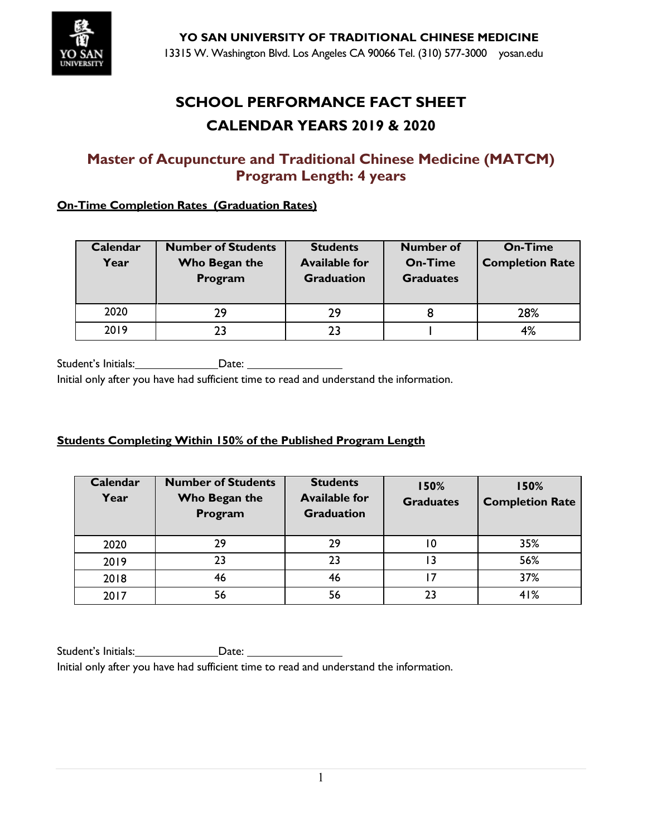

# **SCHOOL PERFORMANCE FACT SHEET CALENDAR YEARS 2019 & 2020**

## **Master of Acupuncture and Traditional Chinese Medicine (MATCM) Program Length: 4 years**

### **On-Time Completion Rates (Graduation Rates)**

| Calendar<br>Year | <b>Number of Students</b><br>Who Began the<br>Program | <b>Students</b><br><b>Available for</b><br><b>Graduation</b> | <b>Number of</b><br><b>On-Time</b><br><b>Graduates</b> | <b>On-Time</b><br><b>Completion Rate</b> |
|------------------|-------------------------------------------------------|--------------------------------------------------------------|--------------------------------------------------------|------------------------------------------|
| 2020             | 29                                                    | 29                                                           | 8                                                      | 28%                                      |
| 2019             |                                                       | 23                                                           |                                                        | 4%                                       |

Student's Initials: Date:

Initial only after you have had sufficient time to read and understand the information.

### **Students Completing Within 150% of the Published Program Length**

| Calendar<br>Year | <b>Number of Students</b><br>Who Began the<br>Program | <b>Students</b><br><b>Available for</b><br><b>Graduation</b> | 150%<br><b>Graduates</b> | 150%<br><b>Completion Rate</b> |
|------------------|-------------------------------------------------------|--------------------------------------------------------------|--------------------------|--------------------------------|
| 2020             | 29                                                    | 29                                                           | 10                       | 35%                            |
| 2019             | 23                                                    | 23                                                           |                          | 56%                            |
| 2018             | 46                                                    | 46                                                           |                          | 37%                            |
| 2017             | 56                                                    | 56                                                           | 23                       | 41%                            |

Student's Initials: Date: Date: Initial only after you have had sufficient time to read and understand the information.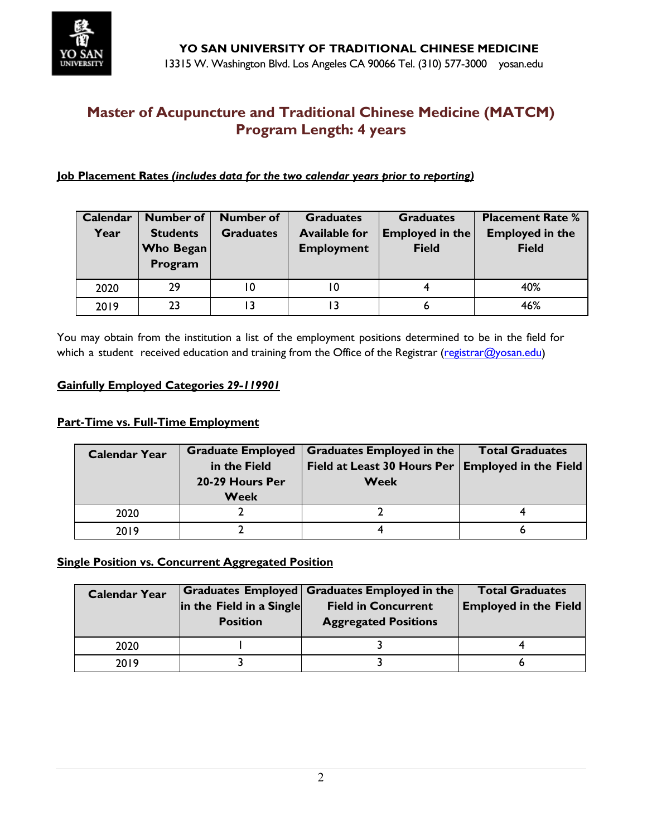

#### **Job Placement Rates** *(includes data for the two calendar years prior to reporting)*

| Calendar | <b>Number of</b> | <b>Number of</b> | <b>Graduates</b>     | <b>Graduates</b>       | <b>Placement Rate %</b> |
|----------|------------------|------------------|----------------------|------------------------|-------------------------|
| Year     | <b>Students</b>  | <b>Graduates</b> | <b>Available for</b> | <b>Employed in the</b> | <b>Employed in the</b>  |
|          | <b>Who Began</b> |                  | <b>Employment</b>    | <b>Field</b>           | <b>Field</b>            |
|          | Program          |                  |                      |                        |                         |
| 2020     | 29               | 10               | 10                   |                        | 40%                     |
|          |                  |                  |                      |                        |                         |
| 2019     | 23               | ۱3               |                      | 6                      | 46%                     |

You may obtain from the institution a list of the employment positions determined to be in the field for which a student received education and training from the Office of the Registrar [\(registrar@yosan.edu\)](mailto:registrar@yosan.edu)

#### **Gainfully Employed Categories** *29-119901*

#### **Part-Time vs. Full-Time Employment**

| <b>Calendar Year</b> | <b>Graduate Employed</b><br>in the Field<br>20-29 Hours Per<br><b>Week</b> | Graduates Employed in the<br>Field at Least 30 Hours Per   Employed in the Field  <br><b>Week</b> | <b>Total Graduates</b> |
|----------------------|----------------------------------------------------------------------------|---------------------------------------------------------------------------------------------------|------------------------|
| 2020                 |                                                                            |                                                                                                   |                        |
| 2019                 |                                                                            |                                                                                                   |                        |

### **Single Position vs. Concurrent Aggregated Position**

| <b>Calendar Year</b> | in the Field in a Single<br><b>Position</b> | Graduates Employed Graduates Employed in the<br><b>Field in Concurrent</b><br><b>Aggregated Positions</b> | <b>Total Graduates</b><br><b>Employed in the Field</b> |
|----------------------|---------------------------------------------|-----------------------------------------------------------------------------------------------------------|--------------------------------------------------------|
| 2020                 |                                             |                                                                                                           |                                                        |
| 2019                 |                                             |                                                                                                           |                                                        |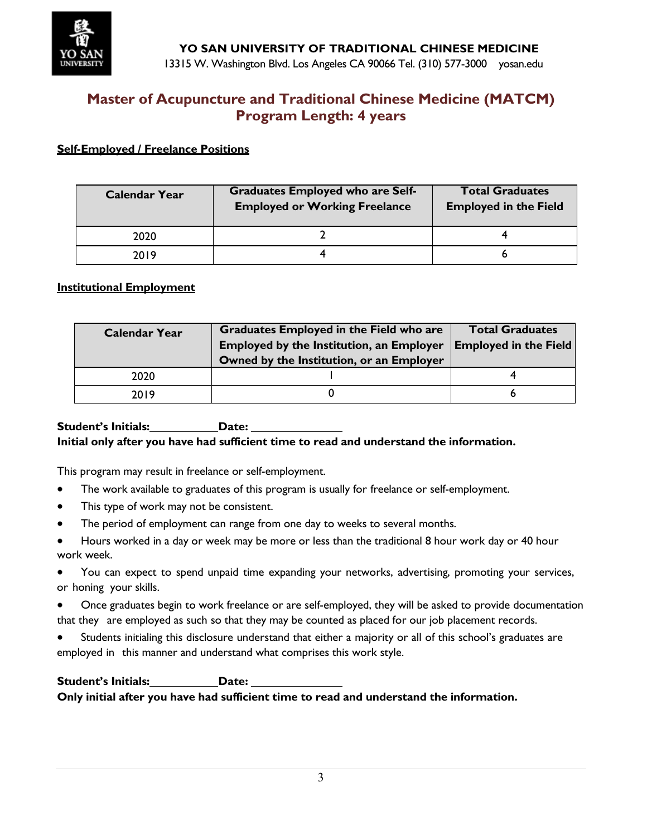

#### **Self-Employed / Freelance Positions**

| <b>Calendar Year</b> | <b>Graduates Employed who are Self-</b><br><b>Employed or Working Freelance</b> | <b>Total Graduates</b><br><b>Employed in the Field</b> |
|----------------------|---------------------------------------------------------------------------------|--------------------------------------------------------|
| 2020                 |                                                                                 |                                                        |
| 2019                 |                                                                                 |                                                        |

#### **Institutional Employment**

| <b>Calendar Year</b> | <b>Graduates Employed in the Field who are</b><br><b>Employed by the Institution, an Employer</b> | <b>Total Graduates</b><br><b>Employed in the Field</b> |
|----------------------|---------------------------------------------------------------------------------------------------|--------------------------------------------------------|
| 2020                 | Owned by the Institution, or an Employer                                                          |                                                        |
| 2019                 |                                                                                                   |                                                        |

#### **Student's Initials: Date: Initial only after you have had sufficient time to read and understand the information.**

This program may result in freelance or self-employment.

- The work available to graduates of this program is usually for freelance or self-employment.
- This type of work may not be consistent.
- The period of employment can range from one day to weeks to several months.
- Hours worked in a day or week may be more or less than the traditional 8 hour work day or 40 hour work week.
- You can expect to spend unpaid time expanding your networks, advertising, promoting your services, or honing your skills.
- Once graduates begin to work freelance or are self-employed, they will be asked to provide documentation that they are employed as such so that they may be counted as placed for our job placement records.
- Students initialing this disclosure understand that either a majority or all of this school's graduates are employed in this manner and understand what comprises this work style.

**Student's Initials: Date: Only initial after you have had sufficient time to read and understand the information.**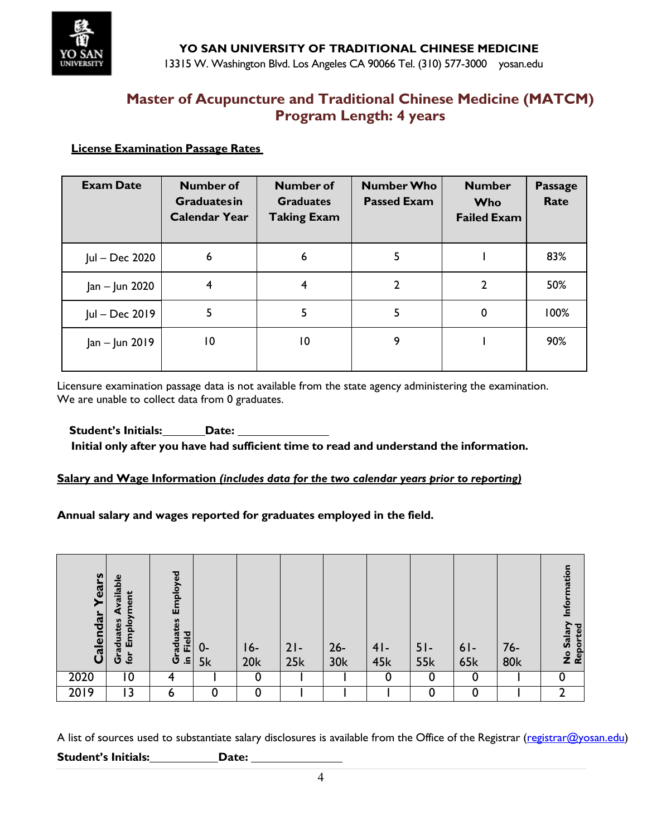

### **License Examination Passage Rates**

| <b>Exam Date</b> | Number of<br><b>Graduatesin</b><br><b>Calendar Year</b> | <b>Number of</b><br><b>Graduates</b><br><b>Taking Exam</b> | <b>Number Who</b><br><b>Passed Exam</b> | <b>Number</b><br><b>Who</b><br><b>Failed Exam</b> | <b>Passage</b><br>Rate |
|------------------|---------------------------------------------------------|------------------------------------------------------------|-----------------------------------------|---------------------------------------------------|------------------------|
| Jul - Dec 2020   | 6                                                       | 6                                                          | 5                                       |                                                   | 83%                    |
| Jan – Jun 2020   |                                                         | 4                                                          | $\mathbf{2}$                            | 2                                                 | 50%                    |
| Jul - Dec 2019   | 5                                                       | 5                                                          | 5                                       | 0                                                 | 100%                   |
| Jan - Jun 2019   | 10                                                      | $\overline{10}$                                            | 9                                       |                                                   | 90%                    |

Licensure examination passage data is not available from the state agency administering the examination. We are unable to collect data from 0 graduates.

### **Student's Initials: Date: Initial only after you have had sufficient time to read and understand the information.**

### **Salary and Wage Information** *(includes data for the two calendar years prior to reporting)*

**Annual salary and wages reported for graduates employed in the field.**

| Years<br>Calendar | vailable<br>ment<br>Employ<br>Graduates<br>è | Employed<br>raduates<br>Field | $0-$<br>5k | I 6-<br>20k | $21-$<br>25k | $26 -$<br>30k | $41-$<br>45k | $51-$<br><b>55k</b> | $61-$<br><b>65k</b> | $76-$<br><b>80k</b> | nation<br>Let<br>No Salary<br>Reported |
|-------------------|----------------------------------------------|-------------------------------|------------|-------------|--------------|---------------|--------------|---------------------|---------------------|---------------------|----------------------------------------|
| 2020              | $\overline{0}$                               | 4                             |            | 0           |              |               | 0            | 0                   | 0                   |                     |                                        |
| 2019              | 13                                           | 6                             | 0          | 0           |              |               |              | 0                   | 0                   |                     |                                        |

A list of sources used to substantiate salary disclosures is available from the Office of the Registrar [\(registrar@yosan.edu\)](mailto:registrar@yosan.edu) **Student's Initials: Date:**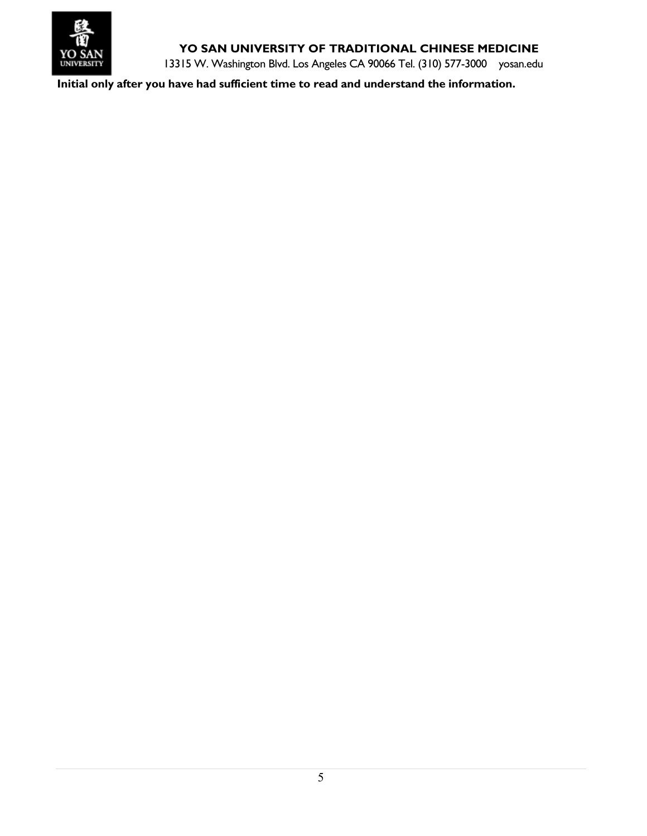

## **YO SAN UNIVERSITY OF TRADITIONAL CHINESE MEDICINE**

13315 W. Washington Blvd. Los Angeles CA 90066 Tel. (310) 577-3000 yosan.edu

**Initial only after you have had sufficient time to read and understand the information.**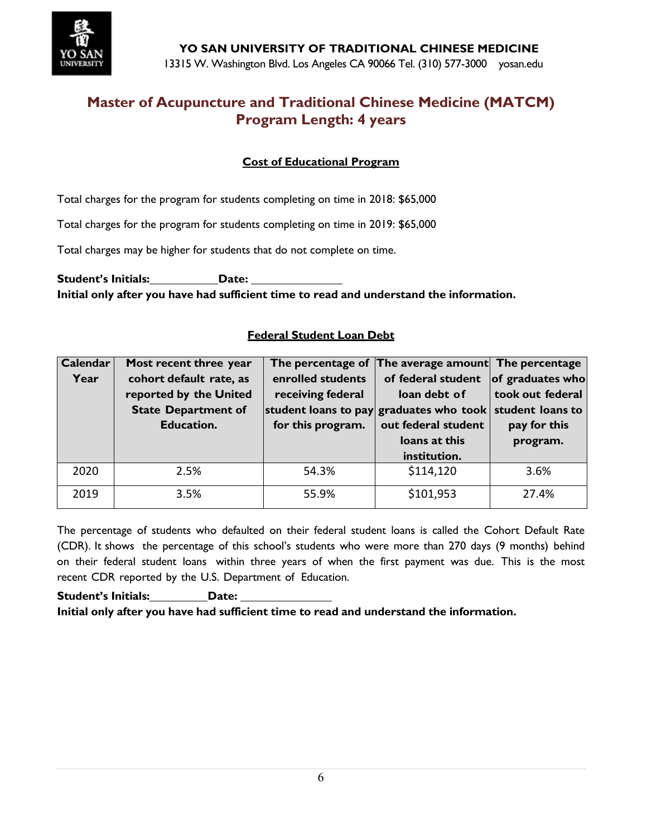

## **Cost of Educational Program**

Total charges for the program for students completing on time in 2018: \$65,000

Total charges for the program for students completing on time in 2019: \$65,000

Total charges may be higher for students that do not complete on time.

**Student's Initials: Date: Initial only after you have had sufficient time to read and understand the information.**

#### **Federal Student Loan Debt**

| <b>Calendar</b> | Most recent three year     | The percentage of | The average amount The percentage                        |                  |
|-----------------|----------------------------|-------------------|----------------------------------------------------------|------------------|
| Year            | cohort default rate, as    | enrolled students | of federal student                                       | of graduates who |
|                 | reported by the United     | receiving federal | loan debt of                                             | took out federal |
|                 | <b>State Department of</b> |                   | student loans to pay graduates who took student loans to |                  |
|                 | <b>Education.</b>          | for this program. | out federal student                                      | pay for this     |
|                 |                            |                   | loans at this                                            | program.         |
|                 |                            |                   |                                                          |                  |
|                 |                            |                   | institution.                                             |                  |
| 2020            | 2.5%                       | 54.3%             | \$114,120                                                | 3.6%             |

The percentage of students who defaulted on their federal student loans is called the Cohort Default Rate (CDR). It shows the percentage of this school's students who were more than 270 days (9 months) behind on their federal student loans within three years of when the first payment was due. This is the most recent CDR reported by the U.S. Department of Education.

**Student's Initials: Date: Initial only after you have had sufficient time to read and understand the information.**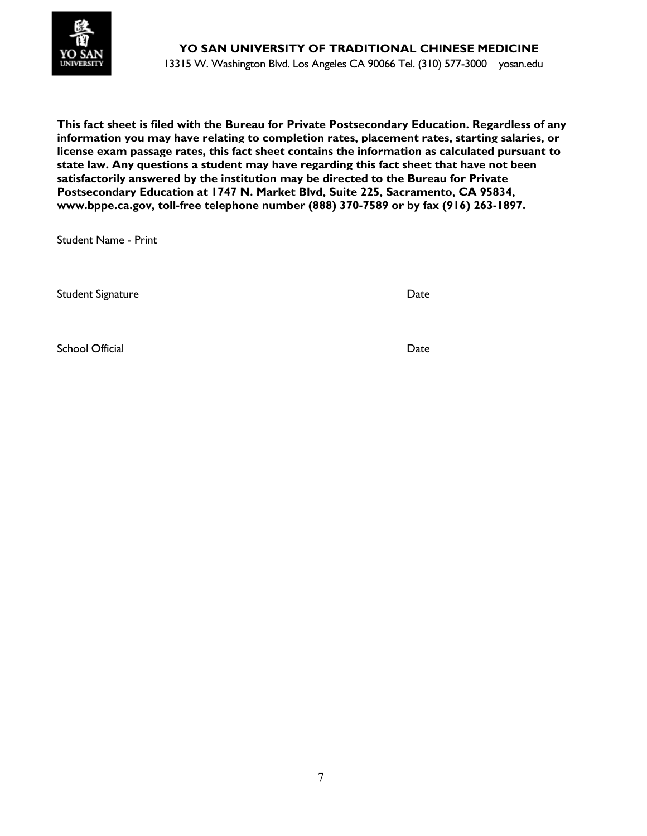

**This fact sheet is filed with the Bureau for Private Postsecondary Education. Regardless of any information you may have relating to completion rates, placement rates, starting salaries, or license exam passage rates, this fact sheet contains the information as calculated pursuant to state law. Any questions a student may have regarding this fact sheet that have not been satisfactorily answered by the institution may be directed to the Bureau for Private Postsecondary Education at 1747 N. Market Blvd, Suite 225, Sacramento, CA 95834, www.bppe.ca.gov, toll-free telephone number (888) 370-7589 or by fax (916) 263-1897.**

Student Name - Print

Student Signature Date

School Official Date of the School Official Date of the School Official Date of the Date of the Date of the Date of the Date of the Date of the Date of the Date of the Date of the Date of the Date of the Date of the Date o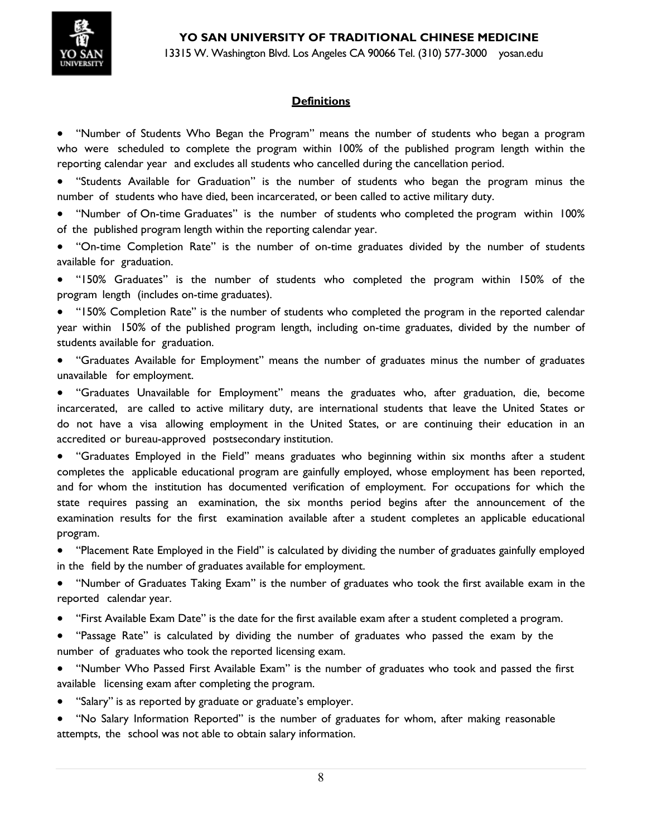

13315 W. Washington Blvd. Los Angeles CA 90066 Tel. (310) 577-3000 yosan.edu

### **Definitions**

• "Number of Students Who Began the Program" means the number of students who began a program who were scheduled to complete the program within 100% of the published program length within the reporting calendar year and excludes all students who cancelled during the cancellation period.

• "Students Available for Graduation" is the number of students who began the program minus the number of students who have died, been incarcerated, or been called to active military duty.

• "Number of On-time Graduates" is the number of students who completed the program within 100% of the published program length within the reporting calendar year.

• "On-time Completion Rate" is the number of on-time graduates divided by the number of students available for graduation.

• "150% Graduates" is the number of students who completed the program within 150% of the program length (includes on-time graduates).

• "150% Completion Rate" is the number of students who completed the program in the reported calendar year within 150% of the published program length, including on-time graduates, divided by the number of students available for graduation.

• "Graduates Available for Employment" means the number of graduates minus the number of graduates unavailable for employment.

• "Graduates Unavailable for Employment" means the graduates who, after graduation, die, become incarcerated, are called to active military duty, are international students that leave the United States or do not have a visa allowing employment in the United States, or are continuing their education in an accredited or bureau-approved postsecondary institution.

• "Graduates Employed in the Field" means graduates who beginning within six months after a student completes the applicable educational program are gainfully employed, whose employment has been reported, and for whom the institution has documented verification of employment. For occupations for which the state requires passing an examination, the six months period begins after the announcement of the examination results for the first examination available after a student completes an applicable educational program.

• "Placement Rate Employed in the Field" is calculated by dividing the number of graduates gainfully employed in the field by the number of graduates available for employment.

• "Number of Graduates Taking Exam" is the number of graduates who took the first available exam in the reported calendar year.

- "First Available Exam Date" is the date for the first available exam after a student completed a program.
- "Passage Rate" is calculated by dividing the number of graduates who passed the exam by the number of graduates who took the reported licensing exam.

• "Number Who Passed First Available Exam" is the number of graduates who took and passed the first available licensing exam after completing the program.

"Salary" is as reported by graduate or graduate's employer.

• "No Salary Information Reported" is the number of graduates for whom, after making reasonable attempts, the school was not able to obtain salary information.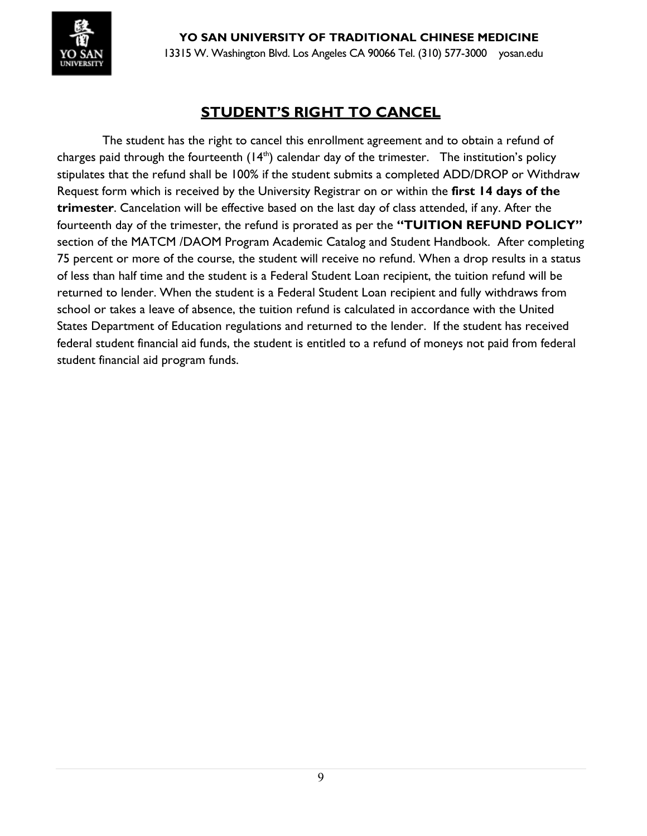

**YO SAN UNIVERSITY OF TRADITIONAL CHINESE MEDICINE** 13315 W. Washington Blvd. Los Angeles CA 90066 Tel. (310) 577-3000 yosan.edu

## **STUDENT'S RIGHT TO CANCEL**

The student has the right to cancel this enrollment agreement and to obtain a refund of charges paid through the fourteenth  $(14<sup>th</sup>)$  calendar day of the trimester. The institution's policy stipulates that the refund shall be 100% if the student submits a completed ADD/DROP or Withdraw Request form which is received by the University Registrar on or within the **first 14 days of the trimester**. Cancelation will be effective based on the last day of class attended, if any. After the fourteenth day of the trimester, the refund is prorated as per the **"TUITION REFUND POLICY"** section of the MATCM /DAOM Program Academic Catalog and Student Handbook. After completing 75 percent or more of the course, the student will receive no refund. When a drop results in a status of less than half time and the student is a Federal Student Loan recipient, the tuition refund will be returned to lender. When the student is a Federal Student Loan recipient and fully withdraws from school or takes a leave of absence, the tuition refund is calculated in accordance with the United States Department of Education regulations and returned to the lender. If the student has received federal student financial aid funds, the student is entitled to a refund of moneys not paid from federal student financial aid program funds.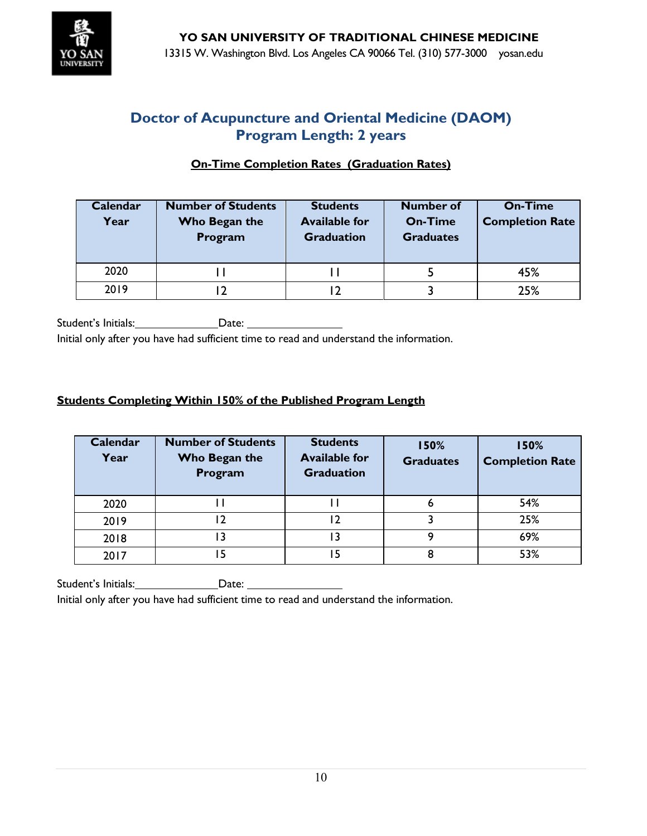

## **On-Time Completion Rates (Graduation Rates)**

| <b>Calendar</b><br>Year | <b>Number of Students</b><br>Who Began the<br>Program | <b>Students</b><br><b>Available for</b><br><b>Graduation</b> | <b>Number of</b><br><b>On-Time</b><br><b>Graduates</b> | <b>On-Time</b><br><b>Completion Rate</b> |
|-------------------------|-------------------------------------------------------|--------------------------------------------------------------|--------------------------------------------------------|------------------------------------------|
| 2020                    |                                                       |                                                              |                                                        | 45%                                      |
| 2019                    |                                                       |                                                              |                                                        | 25%                                      |

Student's Initials: Date:

Initial only after you have had sufficient time to read and understand the information.

### **Students Completing Within 150% of the Published Program Length**

| Calendar<br>Year | <b>Number of Students</b><br>Who Began the<br>Program | <b>Students</b><br><b>Available for</b><br><b>Graduation</b> | 150%<br><b>Graduates</b> | 150%<br><b>Completion Rate</b> |
|------------------|-------------------------------------------------------|--------------------------------------------------------------|--------------------------|--------------------------------|
| 2020             |                                                       |                                                              | ь                        | 54%                            |
| 2019             | 12                                                    | 12                                                           |                          | 25%                            |
| 2018             | 3                                                     | ۱3                                                           | Q                        | 69%                            |
| 2017             | 15                                                    | ۱5                                                           | 8                        | 53%                            |

Student's Initials: Date:

Initial only after you have had sufficient time to read and understand the information.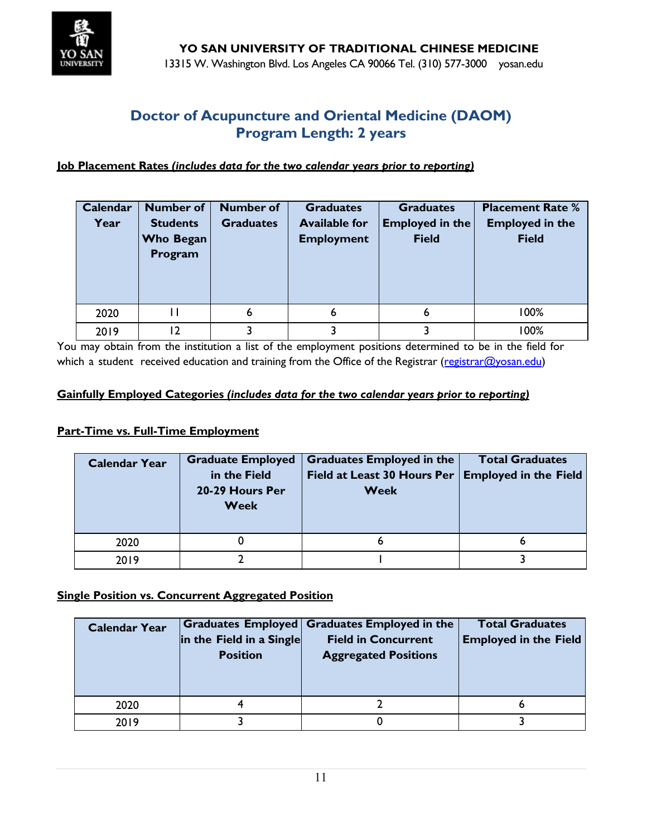

#### **Job Placement Rates** *(includes data for the two calendar years prior to reporting)*

| Calendar<br>Year | <b>Number of</b><br><b>Students</b><br><b>Who Began</b><br>Program | <b>Number of</b><br><b>Graduates</b> | <b>Graduates</b><br><b>Available for</b><br><b>Employment</b> | <b>Graduates</b><br><b>Employed in the</b><br><b>Field</b> | <b>Placement Rate %</b><br><b>Employed in the</b><br><b>Field</b> |
|------------------|--------------------------------------------------------------------|--------------------------------------|---------------------------------------------------------------|------------------------------------------------------------|-------------------------------------------------------------------|
| 2020             | П                                                                  | 6                                    | 6                                                             | 6                                                          | 100%                                                              |
| 2019             | 12                                                                 |                                      |                                                               |                                                            | 100%                                                              |

You may obtain from the institution a list of the employment positions determined to be in the field for which a student received education and training from the Office of the Registrar [\(registrar@yosan.edu\)](mailto:registrar@yosan.edu)

#### **Gainfully Employed Categories** *(includes data for the two calendar years prior to reporting)*

#### **Part-Time vs. Full-Time Employment**

| <b>Calendar Year</b> | <b>Graduate Employed</b><br>in the Field<br>20-29 Hours Per<br><b>Week</b> | Graduates Employed in the<br>Field at Least 30 Hours Per  <br><b>Week</b> | <b>Total Graduates</b><br><b>Employed in the Field</b> |  |
|----------------------|----------------------------------------------------------------------------|---------------------------------------------------------------------------|--------------------------------------------------------|--|
| 2020                 |                                                                            | ь                                                                         |                                                        |  |
| 2019                 |                                                                            |                                                                           |                                                        |  |

#### **Single Position vs. Concurrent Aggregated Position**

| <b>Calendar Year</b> | in the Field in a Single<br><b>Position</b> | Graduates Employed Graduates Employed in the<br><b>Field in Concurrent</b><br><b>Aggregated Positions</b> | <b>Total Graduates</b><br><b>Employed in the Field</b> |
|----------------------|---------------------------------------------|-----------------------------------------------------------------------------------------------------------|--------------------------------------------------------|
| 2020                 |                                             |                                                                                                           |                                                        |
| 2019                 |                                             |                                                                                                           |                                                        |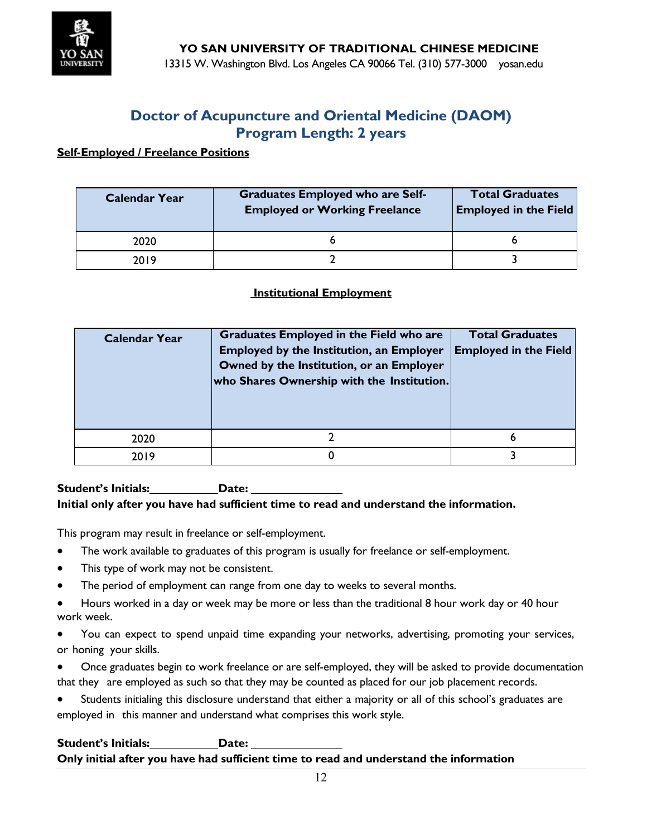

#### **Self-Employed / Freelance Positions**

| <b>Calendar Year</b> | <b>Graduates Employed who are Self-</b><br><b>Employed or Working Freelance</b> | <b>Total Graduates</b><br><b>Employed in the Field</b> |  |  |
|----------------------|---------------------------------------------------------------------------------|--------------------------------------------------------|--|--|
| 2020                 |                                                                                 |                                                        |  |  |
| 2019                 |                                                                                 |                                                        |  |  |

#### **Institutional Employment**

| <b>Calendar Year</b> | <b>Graduates Employed in the Field who are</b><br><b>Employed by the Institution, an Employer</b><br>Owned by the Institution, or an Employer<br>who Shares Ownership with the Institution. | <b>Total Graduates</b><br><b>Employed in the Field</b> |
|----------------------|---------------------------------------------------------------------------------------------------------------------------------------------------------------------------------------------|--------------------------------------------------------|
| 2020                 |                                                                                                                                                                                             |                                                        |
| 2019                 |                                                                                                                                                                                             |                                                        |

#### **Student's Initials:** Date: **Initial only after you have had sufficient time to read and understand the information.**

This program may result in freelance or self-employment.

- The work available to graduates of this program is usually for freelance or self-employment.
- This type of work may not be consistent.
- The period of employment can range from one day to weeks to several months.
- Hours worked in a day or week may be more or less than the traditional 8 hour work day or 40 hour work week.
- You can expect to spend unpaid time expanding your networks, advertising, promoting your services, or honing your skills.
- Once graduates begin to work freelance or are self-employed, they will be asked to provide documentation that they are employed as such so that they may be counted as placed for our job placement records.
- Students initialing this disclosure understand that either a majority or all of this school's graduates are employed in this manner and understand what comprises this work style.

### **Student's Initials: Date: Only initial after you have had sufficient time to read and understand the information**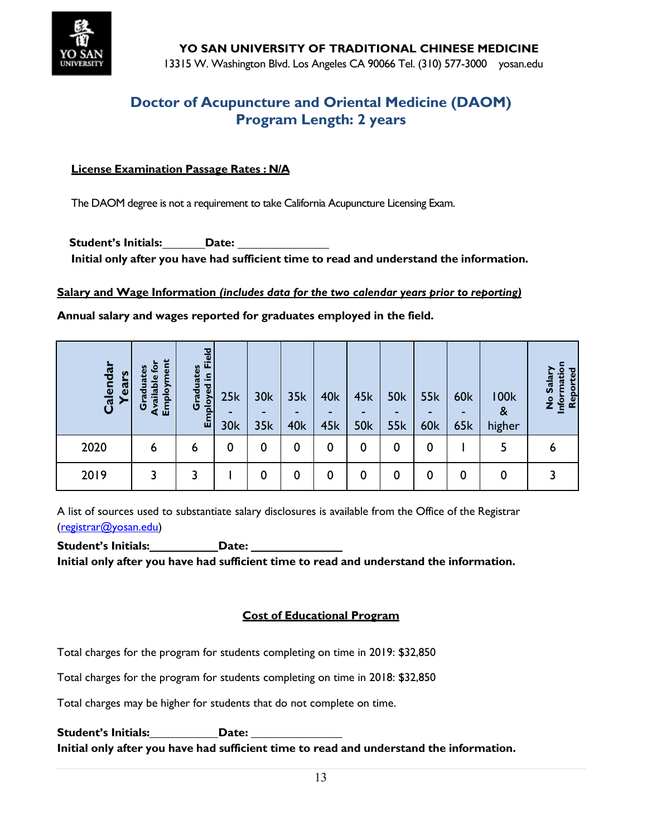

**YO SAN UNIVERSITY OF TRADITIONAL CHINESE MEDICINE** 13315 W. Washington Blvd. Los Angeles CA 90066 Tel. (310) 577-3000 yosan.edu

## **Doctor of Acupuncture and Oriental Medicine (DAOM) Program Length: 2 years**

#### **License Examination Passage Rates : N/A**

The DAOM degree is not a requirement to take California Acupuncture Licensing Exam.

**Student's Initials: Date: Initial only after you have had sufficient time to read and understand the information.**

#### **Salary and Wage Information** *(includes data for the two calendar years prior to reporting)*

**Annual salary and wages reported for graduates employed in the field.**

| Calendar<br>Years | Employment<br>తై<br><u>ga</u><br>Available<br><b>Gra</b> | Field<br>rates<br>ployed<br>Gradu<br>$E_{\rm m}$ | 25k<br>30k | 30k<br>35k | 35k<br><b>40k</b> | 40k<br>45k | 45k<br><b>50k</b> | <b>50k</b><br><b>55k</b> | <b>55k</b><br>-<br><b>60k</b> | <b>60k</b><br><b>65k</b> | <b>100k</b><br>&<br>higher | <b>Pal</b><br>matio<br>No Sala<br>Report<br>Infor |
|-------------------|----------------------------------------------------------|--------------------------------------------------|------------|------------|-------------------|------------|-------------------|--------------------------|-------------------------------|--------------------------|----------------------------|---------------------------------------------------|
| 2020              | 6                                                        | 6                                                | 0          | 0          | 0                 | 0          | 0                 | 0                        | $\mathbf 0$                   |                          | 5                          | ь                                                 |
| 2019              | 3                                                        | 3                                                |            | 0          | 0                 | 0          | 0                 | 0                        | 0                             | 0                        | 0                          |                                                   |

A list of sources used to substantiate salary disclosures is available from the Office of the Registrar [\(registrar@yosan.edu\)](mailto:registrar@yosan.edu)

**Student's Initials:** Date: **Initial only after you have had sufficient time to read and understand the information.**

### **Cost of Educational Program**

Total charges for the program for students completing on time in 2019: \$32,850

Total charges for the program for students completing on time in 2018: \$32,850

Total charges may be higher for students that do not complete on time.

**Student's Initials: Date: Initial only after you have had sufficient time to read and understand the information.**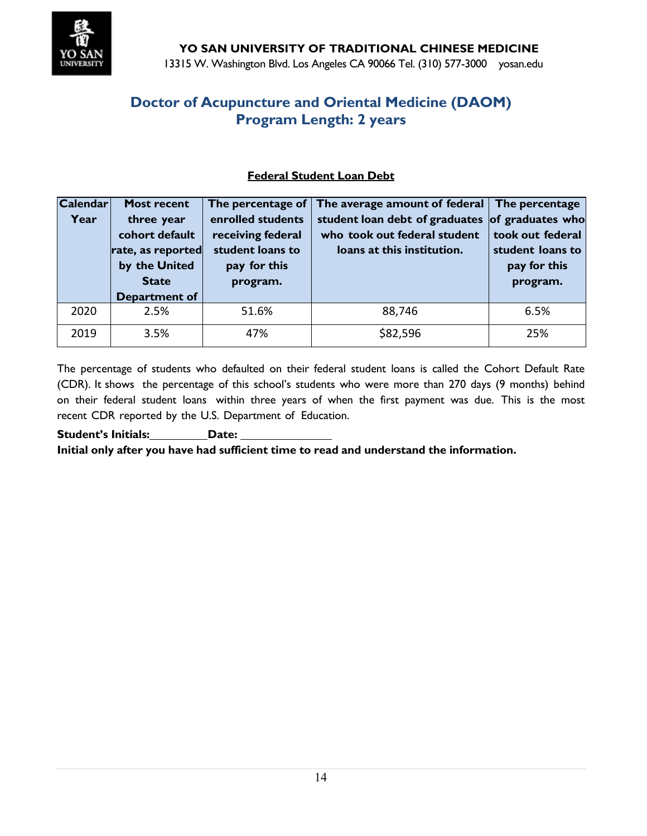

### **Federal Student Loan Debt**

| <b>Calendar</b> | <b>Most recent</b>                    | The percentage of                      | The average amount of federal The percentage                   |                                      |
|-----------------|---------------------------------------|----------------------------------------|----------------------------------------------------------------|--------------------------------------|
| Year            | three year<br>cohort default          | enrolled students<br>receiving federal | student loan debt of graduates<br>who took out federal student | of graduates who<br>took out federal |
|                 | student loans to<br>rate, as reported |                                        | loans at this institution.                                     | student loans to                     |
|                 | by the United                         | pay for this                           |                                                                | pay for this                         |
|                 | <b>State</b>                          | program.                               |                                                                | program.                             |
|                 | <b>Department of</b>                  |                                        |                                                                |                                      |
| 2020            | 2.5%                                  | 51.6%                                  | 88,746                                                         | 6.5%                                 |
| 2019            | 3.5%                                  | 47%                                    | \$82,596                                                       | 25%                                  |

The percentage of students who defaulted on their federal student loans is called the Cohort Default Rate (CDR). It shows the percentage of this school's students who were more than 270 days (9 months) behind on their federal student loans within three years of when the first payment was due. This is the most recent CDR reported by the U.S. Department of Education.

**Student's Initials: Date: Initial only after you have had sufficient time to read and understand the information.**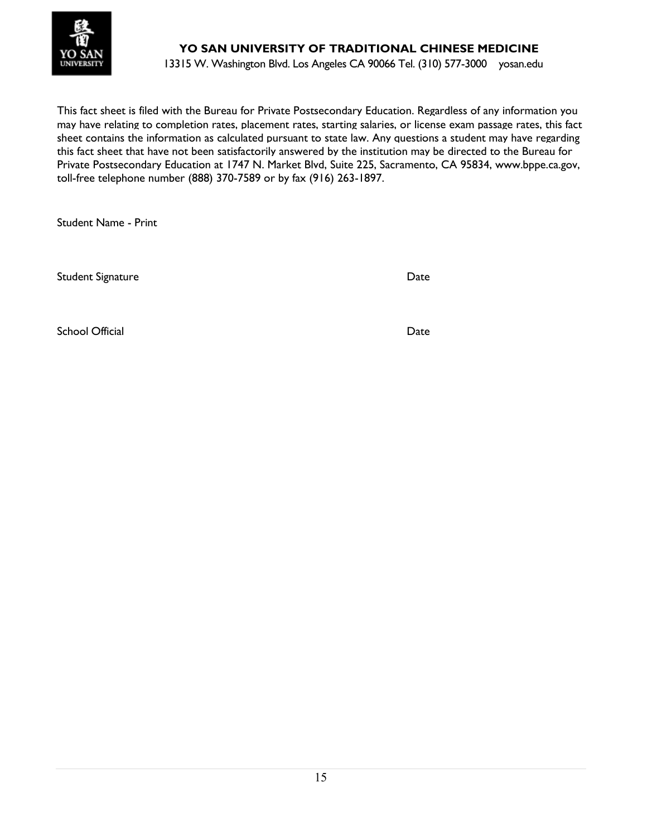

## **YO SAN UNIVERSITY OF TRADITIONAL CHINESE MEDICINE**

13315 W. Washington Blvd. Los Angeles CA 90066 Tel. (310) 577-3000 yosan.edu

This fact sheet is filed with the Bureau for Private Postsecondary Education. Regardless of any information you may have relating to completion rates, placement rates, starting salaries, or license exam passage rates, this fact sheet contains the information as calculated pursuant to state law. Any questions a student may have regarding this fact sheet that have not been satisfactorily answered by the institution may be directed to the Bureau for Private Postsecondary Education at 1747 N. Market Blvd, Suite 225, Sacramento, CA 95834, www.bppe.ca.gov, toll-free telephone number (888) 370-7589 or by fax (916) 263-1897.

Student Name - Print

Student Signature Date Date Communications and Date Date

School Official Date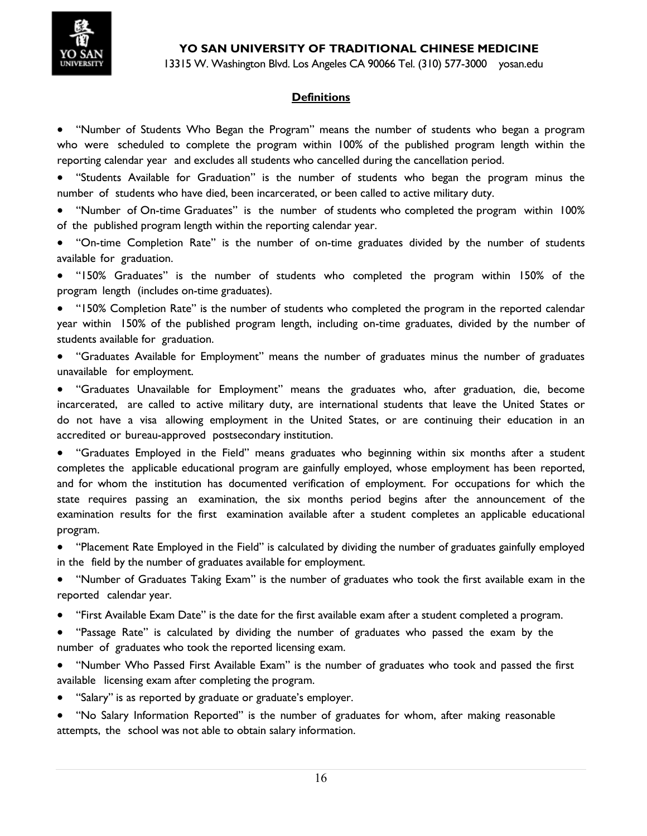

13315 W. Washington Blvd. Los Angeles CA 90066 Tel. (310) 577-3000 yosan.edu

### **Definitions**

• "Number of Students Who Began the Program" means the number of students who began a program who were scheduled to complete the program within 100% of the published program length within the reporting calendar year and excludes all students who cancelled during the cancellation period.

• "Students Available for Graduation" is the number of students who began the program minus the number of students who have died, been incarcerated, or been called to active military duty.

• "Number of On-time Graduates" is the number of students who completed the program within 100% of the published program length within the reporting calendar year.

• "On-time Completion Rate" is the number of on-time graduates divided by the number of students available for graduation.

• "150% Graduates" is the number of students who completed the program within 150% of the program length (includes on-time graduates).

• "150% Completion Rate" is the number of students who completed the program in the reported calendar year within 150% of the published program length, including on-time graduates, divided by the number of students available for graduation.

• "Graduates Available for Employment" means the number of graduates minus the number of graduates unavailable for employment.

• "Graduates Unavailable for Employment" means the graduates who, after graduation, die, become incarcerated, are called to active military duty, are international students that leave the United States or do not have a visa allowing employment in the United States, or are continuing their education in an accredited or bureau-approved postsecondary institution.

• "Graduates Employed in the Field" means graduates who beginning within six months after a student completes the applicable educational program are gainfully employed, whose employment has been reported, and for whom the institution has documented verification of employment. For occupations for which the state requires passing an examination, the six months period begins after the announcement of the examination results for the first examination available after a student completes an applicable educational program.

• "Placement Rate Employed in the Field" is calculated by dividing the number of graduates gainfully employed in the field by the number of graduates available for employment.

• "Number of Graduates Taking Exam" is the number of graduates who took the first available exam in the reported calendar year.

- "First Available Exam Date" is the date for the first available exam after a student completed a program.
- "Passage Rate" is calculated by dividing the number of graduates who passed the exam by the number of graduates who took the reported licensing exam.

• "Number Who Passed First Available Exam" is the number of graduates who took and passed the first available licensing exam after completing the program.

- "Salary" is as reported by graduate or graduate's employer.
- "No Salary Information Reported" is the number of graduates for whom, after making reasonable attempts, the school was not able to obtain salary information.